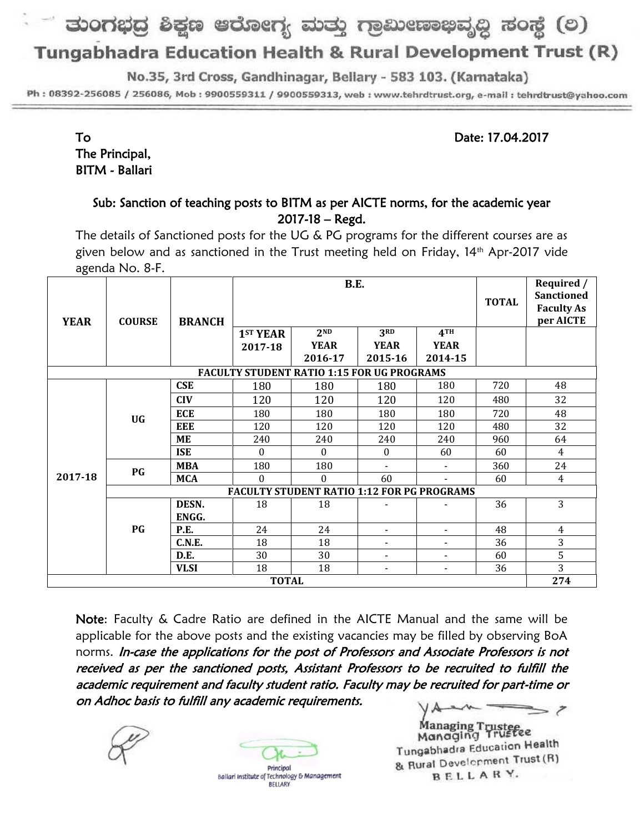## ಮಂಗಭದ್ರ ಶಿಕ್ಷಣ ಆರೋಗ್ಯ ಮತ್ತು ಗ್ರಾಮೀಣಾಭಿವೃದ್ಧಿ ಸಂಸ್ಥೆ (ಲ)

### Tungabhadra Education Health & Rural Development Trust (R)

No.35, 3rd Cross, Gandhinagar, Bellary - 583 103. (Karnataka)

Ph: 08392-256085 / 256086, Mob: 9900559311 / 9900559313, web: www.tehrdtrust.org, e-mail: tehrdtrust@yahoo.com

#### To Date: 17.04.2017

## The Principal, BITM - Ballari

#### Sub: Sanction of teaching posts to BITM as per AICTE norms, for the academic year 2017-18 – Regd.

The details of Sanctioned posts for the UG & PG programs for the different courses are as given below and as sanctioned in the Trust meeting held on Friday, 14<sup>th</sup> Apr-2017 vide agenda No. 8-F.

|                                                   | <b>COURSE</b>                                     | <b>BRANCH</b> | B.E.     |                 |                          |                          | <b>TOTAL</b> | Required /        |
|---------------------------------------------------|---------------------------------------------------|---------------|----------|-----------------|--------------------------|--------------------------|--------------|-------------------|
| <b>YEAR</b>                                       |                                                   |               |          |                 |                          |                          |              | <b>Sanctioned</b> |
|                                                   |                                                   |               |          |                 |                          |                          |              | <b>Faculty As</b> |
|                                                   |                                                   |               |          |                 |                          |                          |              | per AICTE         |
|                                                   |                                                   |               | 1ST YEAR | 2 <sub>ND</sub> | 3RD                      | 4TH                      |              |                   |
|                                                   |                                                   |               | 2017-18  | <b>YEAR</b>     | <b>YEAR</b>              | <b>YEAR</b>              |              |                   |
|                                                   |                                                   |               |          | 2016-17         | 2015-16                  | 2014-15                  |              |                   |
| <b>FACULTY STUDENT RATIO 1:15 FOR UG PROGRAMS</b> |                                                   |               |          |                 |                          |                          |              |                   |
| 2017-18                                           | <b>UG</b>                                         | <b>CSE</b>    | 180      | 180             | 180                      | 180                      | 720          | 48                |
|                                                   |                                                   | <b>CIV</b>    | 120      | 120             | 120                      | 120                      | 480          | 32                |
|                                                   |                                                   | ECE           | 180      | 180             | 180                      | 180                      | 720          | 48                |
|                                                   |                                                   | EEE           | 120      | 120             | 120                      | 120                      | 480          | 32                |
|                                                   |                                                   | ME            | 240      | 240             | 240                      | 240                      | 960          | 64                |
|                                                   |                                                   | <b>ISE</b>    | 0        | $\Omega$        | $\bf{0}$                 | 60                       | 60           | $\overline{4}$    |
|                                                   | PG                                                | <b>MBA</b>    | 180      | 180             |                          | $\overline{\phantom{a}}$ | 360          | 24                |
|                                                   |                                                   | <b>MCA</b>    | $\theta$ | $\theta$        | 60                       | $\blacksquare$           | 60           | $\overline{4}$    |
|                                                   | <b>FACULTY STUDENT RATIO 1:12 FOR PG PROGRAMS</b> |               |          |                 |                          |                          |              |                   |
|                                                   | PG                                                | DESN.         | 18       | 18              |                          |                          | 36           | 3                 |
|                                                   |                                                   | ENGG.         |          |                 |                          |                          |              |                   |
|                                                   |                                                   | P.E.          | 24       | 24              | $\blacksquare$           | $\blacksquare$           | 48           | 4                 |
|                                                   |                                                   | C.N.E.        | 18       | 18              | $\overline{\phantom{a}}$ | $\blacksquare$           | 36           | 3                 |
|                                                   |                                                   | D.E.          | 30       | 30              | $\overline{\phantom{a}}$ | $\overline{\phantom{a}}$ | 60           | 5                 |
|                                                   |                                                   | <b>VLSI</b>   | 18       | 18              | $\blacksquare$           | $\blacksquare$           | 36           | 3                 |
| <b>TOTAL</b>                                      |                                                   |               |          |                 |                          |                          |              | 274               |

Note: Faculty & Cadre Ratio are defined in the AICTE Manual and the same will be applicable for the above posts and the existing vacancies may be filled by observing BoA norms. In-case the applications for the post of Professors and Associate Professors is not received as per the sanctioned posts, Assistant Professors to be recruited to fulfill the academic requirement and faculty student ratio. Faculty may be recruited for part-time or on Adhoc basis to fulfill any academic requirements.





 $\geq$  7 Managing Trusteeee Tungabhadra Education Health & Rural Development Trust (R) BELLARY.